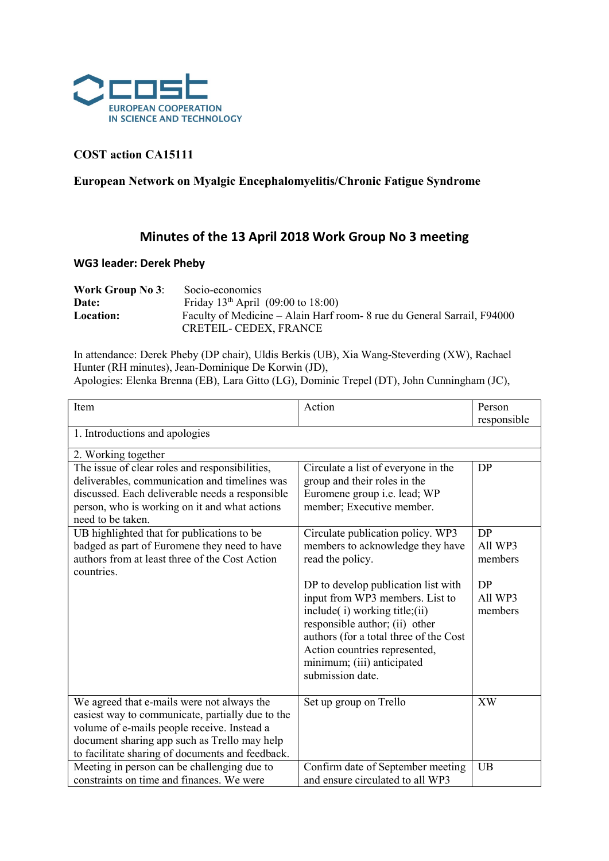

## COST action CA15111

## European Network on Myalgic Encephalomyelitis/Chronic Fatigue Syndrome

## Minutes of the 13 April 2018 Work Group No 3 meeting

## WG3 leader: Derek Pheby

| <b>Work Group No 3:</b> | Socio-economics                                                         |
|-------------------------|-------------------------------------------------------------------------|
| Date:                   | Friday $13th$ April (09:00 to 18:00)                                    |
| Location:               | Faculty of Medicine – Alain Harf room- 8 rue du General Sarrail, F94000 |
|                         | CRETEIL- CEDEX, FRANCE                                                  |

In attendance: Derek Pheby (DP chair), Uldis Berkis (UB), Xia Wang-Steverding (XW), Rachael Hunter (RH minutes), Jean-Dominique De Korwin (JD),

Apologies: Elenka Brenna (EB), Lara Gitto (LG), Dominic Trepel (DT), John Cunningham (JC),

| Item                                                                                                                                                                                                                                              | Action                                                                                                                                                                                                                                                                 | Person<br>responsible    |  |  |  |
|---------------------------------------------------------------------------------------------------------------------------------------------------------------------------------------------------------------------------------------------------|------------------------------------------------------------------------------------------------------------------------------------------------------------------------------------------------------------------------------------------------------------------------|--------------------------|--|--|--|
| 1. Introductions and apologies                                                                                                                                                                                                                    |                                                                                                                                                                                                                                                                        |                          |  |  |  |
| 2. Working together                                                                                                                                                                                                                               |                                                                                                                                                                                                                                                                        |                          |  |  |  |
| The issue of clear roles and responsibilities,<br>deliverables, communication and timelines was<br>discussed. Each deliverable needs a responsible<br>person, who is working on it and what actions<br>need to be taken.                          | Circulate a list of everyone in the<br>group and their roles in the<br>Euromene group i.e. lead; WP<br>member; Executive member.                                                                                                                                       | DP                       |  |  |  |
| UB highlighted that for publications to be<br>badged as part of Euromene they need to have<br>authors from at least three of the Cost Action<br>countries.                                                                                        | Circulate publication policy. WP3<br>members to acknowledge they have<br>read the policy.                                                                                                                                                                              | DP<br>All WP3<br>members |  |  |  |
|                                                                                                                                                                                                                                                   | DP to develop publication list with<br>input from WP3 members. List to<br>include(i) working title;(ii)<br>responsible author; (ii) other<br>authors (for a total three of the Cost<br>Action countries represented,<br>minimum; (iii) anticipated<br>submission date. | DP<br>All WP3<br>members |  |  |  |
| We agreed that e-mails were not always the<br>easiest way to communicate, partially due to the<br>volume of e-mails people receive. Instead a<br>document sharing app such as Trello may help<br>to facilitate sharing of documents and feedback. | Set up group on Trello                                                                                                                                                                                                                                                 | <b>XW</b>                |  |  |  |
| Meeting in person can be challenging due to<br>constraints on time and finances. We were                                                                                                                                                          | Confirm date of September meeting<br>and ensure circulated to all WP3                                                                                                                                                                                                  | <b>UB</b>                |  |  |  |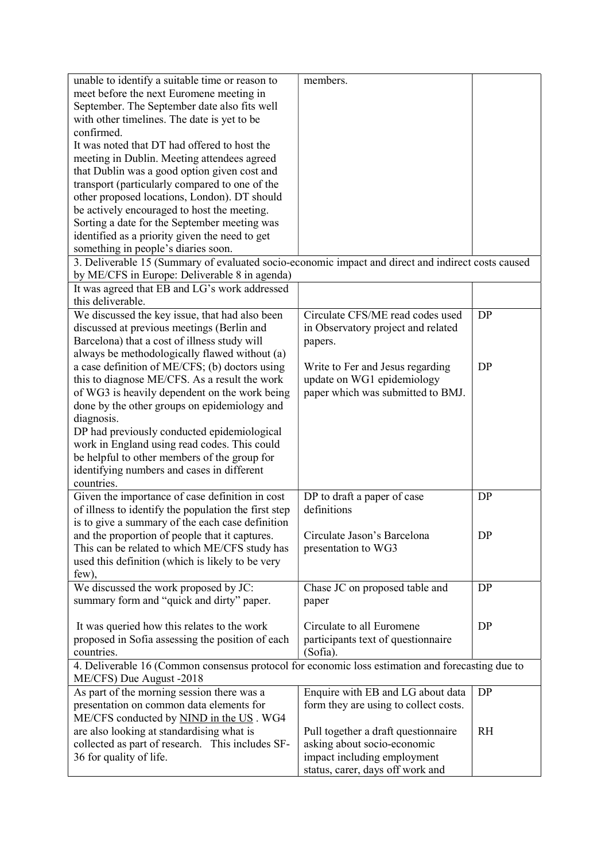| unable to identify a suitable time or reason to                                                    | members.                              |           |  |  |
|----------------------------------------------------------------------------------------------------|---------------------------------------|-----------|--|--|
| meet before the next Euromene meeting in                                                           |                                       |           |  |  |
| September. The September date also fits well                                                       |                                       |           |  |  |
| with other timelines. The date is yet to be                                                        |                                       |           |  |  |
| confirmed.                                                                                         |                                       |           |  |  |
|                                                                                                    |                                       |           |  |  |
| It was noted that DT had offered to host the                                                       |                                       |           |  |  |
| meeting in Dublin. Meeting attendees agreed                                                        |                                       |           |  |  |
| that Dublin was a good option given cost and                                                       |                                       |           |  |  |
| transport (particularly compared to one of the                                                     |                                       |           |  |  |
| other proposed locations, London). DT should                                                       |                                       |           |  |  |
| be actively encouraged to host the meeting.                                                        |                                       |           |  |  |
| Sorting a date for the September meeting was                                                       |                                       |           |  |  |
| identified as a priority given the need to get                                                     |                                       |           |  |  |
| something in people's diaries soon.                                                                |                                       |           |  |  |
| 3. Deliverable 15 (Summary of evaluated socio-economic impact and direct and indirect costs caused |                                       |           |  |  |
| by ME/CFS in Europe: Deliverable 8 in agenda)                                                      |                                       |           |  |  |
|                                                                                                    |                                       |           |  |  |
| It was agreed that EB and LG's work addressed                                                      |                                       |           |  |  |
| this deliverable.                                                                                  |                                       |           |  |  |
| We discussed the key issue, that had also been                                                     | Circulate CFS/ME read codes used      | <b>DP</b> |  |  |
| discussed at previous meetings (Berlin and                                                         | in Observatory project and related    |           |  |  |
| Barcelona) that a cost of illness study will                                                       | papers.                               |           |  |  |
| always be methodologically flawed without (a)                                                      |                                       |           |  |  |
| a case definition of ME/CFS; (b) doctors using                                                     | Write to Fer and Jesus regarding      | <b>DP</b> |  |  |
| this to diagnose ME/CFS. As a result the work                                                      | update on WG1 epidemiology            |           |  |  |
| of WG3 is heavily dependent on the work being                                                      | paper which was submitted to BMJ.     |           |  |  |
| done by the other groups on epidemiology and                                                       |                                       |           |  |  |
| diagnosis.                                                                                         |                                       |           |  |  |
| DP had previously conducted epidemiological                                                        |                                       |           |  |  |
| work in England using read codes. This could                                                       |                                       |           |  |  |
| be helpful to other members of the group for                                                       |                                       |           |  |  |
| identifying numbers and cases in different                                                         |                                       |           |  |  |
|                                                                                                    |                                       |           |  |  |
| countries.                                                                                         |                                       |           |  |  |
| Given the importance of case definition in cost                                                    | DP to draft a paper of case           | <b>DP</b> |  |  |
| of illness to identify the population the first step                                               | definitions                           |           |  |  |
| is to give a summary of the each case definition                                                   |                                       |           |  |  |
| and the proportion of people that it captures.                                                     | Circulate Jason's Barcelona           | DP        |  |  |
| This can be related to which ME/CFS study has                                                      | presentation to WG3                   |           |  |  |
| used this definition (which is likely to be very                                                   |                                       |           |  |  |
| few),                                                                                              |                                       |           |  |  |
| We discussed the work proposed by JC:                                                              | Chase JC on proposed table and        | DP        |  |  |
| summary form and "quick and dirty" paper.                                                          | paper                                 |           |  |  |
|                                                                                                    |                                       |           |  |  |
| It was queried how this relates to the work                                                        | Circulate to all Euromene             | DP        |  |  |
| proposed in Sofia assessing the position of each                                                   | participants text of questionnaire    |           |  |  |
| countries.                                                                                         | (Sofia).                              |           |  |  |
|                                                                                                    |                                       |           |  |  |
| 4. Deliverable 16 (Common consensus protocol for economic loss estimation and forecasting due to   |                                       |           |  |  |
| ME/CFS) Due August -2018                                                                           |                                       | DP        |  |  |
| As part of the morning session there was a                                                         | Enquire with EB and LG about data     |           |  |  |
| presentation on common data elements for                                                           | form they are using to collect costs. |           |  |  |
| ME/CFS conducted by NIND in the US. WG4                                                            |                                       |           |  |  |
| are also looking at standardising what is                                                          | Pull together a draft questionnaire   | <b>RH</b> |  |  |
| collected as part of research. This includes SF-                                                   | asking about socio-economic           |           |  |  |
| 36 for quality of life.                                                                            | impact including employment           |           |  |  |
|                                                                                                    | status, carer, days off work and      |           |  |  |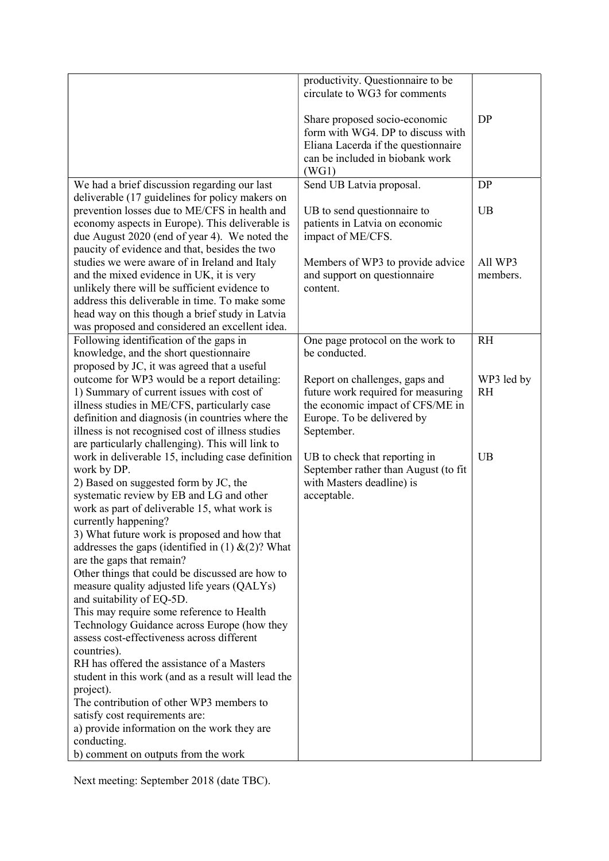|                                                                                                                                                                                                                                                                                                                                                                                                                                                                                                                                                                                                                                                                                                                                                                                                                                                                                                                                                                   | productivity. Questionnaire to be<br>circulate to WG3 for comments                                                                                    |                         |
|-------------------------------------------------------------------------------------------------------------------------------------------------------------------------------------------------------------------------------------------------------------------------------------------------------------------------------------------------------------------------------------------------------------------------------------------------------------------------------------------------------------------------------------------------------------------------------------------------------------------------------------------------------------------------------------------------------------------------------------------------------------------------------------------------------------------------------------------------------------------------------------------------------------------------------------------------------------------|-------------------------------------------------------------------------------------------------------------------------------------------------------|-------------------------|
|                                                                                                                                                                                                                                                                                                                                                                                                                                                                                                                                                                                                                                                                                                                                                                                                                                                                                                                                                                   | Share proposed socio-economic<br>form with WG4. DP to discuss with<br>Eliana Lacerda if the questionnaire<br>can be included in biobank work<br>(WG1) | DP                      |
| We had a brief discussion regarding our last                                                                                                                                                                                                                                                                                                                                                                                                                                                                                                                                                                                                                                                                                                                                                                                                                                                                                                                      | Send UB Latvia proposal.                                                                                                                              | <b>DP</b>               |
| deliverable (17 guidelines for policy makers on<br>prevention losses due to ME/CFS in health and                                                                                                                                                                                                                                                                                                                                                                                                                                                                                                                                                                                                                                                                                                                                                                                                                                                                  | UB to send questionnaire to                                                                                                                           | <b>UB</b>               |
| economy aspects in Europe). This deliverable is<br>due August 2020 (end of year 4). We noted the<br>paucity of evidence and that, besides the two                                                                                                                                                                                                                                                                                                                                                                                                                                                                                                                                                                                                                                                                                                                                                                                                                 | patients in Latvia on economic<br>impact of ME/CFS.                                                                                                   |                         |
| studies we were aware of in Ireland and Italy<br>and the mixed evidence in UK, it is very<br>unlikely there will be sufficient evidence to<br>address this deliverable in time. To make some<br>head way on this though a brief study in Latvia<br>was proposed and considered an excellent idea.                                                                                                                                                                                                                                                                                                                                                                                                                                                                                                                                                                                                                                                                 | Members of WP3 to provide advice<br>and support on questionnaire<br>content.                                                                          | All WP3<br>members.     |
| Following identification of the gaps in                                                                                                                                                                                                                                                                                                                                                                                                                                                                                                                                                                                                                                                                                                                                                                                                                                                                                                                           | One page protocol on the work to                                                                                                                      | <b>RH</b>               |
| knowledge, and the short questionnaire<br>proposed by JC, it was agreed that a useful                                                                                                                                                                                                                                                                                                                                                                                                                                                                                                                                                                                                                                                                                                                                                                                                                                                                             | be conducted.                                                                                                                                         |                         |
| outcome for WP3 would be a report detailing:<br>1) Summary of current issues with cost of<br>illness studies in ME/CFS, particularly case<br>definition and diagnosis (in countries where the<br>illness is not recognised cost of illness studies<br>are particularly challenging). This will link to                                                                                                                                                                                                                                                                                                                                                                                                                                                                                                                                                                                                                                                            | Report on challenges, gaps and<br>future work required for measuring<br>the economic impact of CFS/ME in<br>Europe. To be delivered by<br>September.  | WP3 led by<br><b>RH</b> |
| work in deliverable 15, including case definition<br>work by DP.<br>2) Based on suggested form by JC, the<br>systematic review by EB and LG and other<br>work as part of deliverable 15, what work is<br>currently happening?<br>3) What future work is proposed and how that<br>addresses the gaps (identified in $(1)$ & $(2)$ ? What<br>are the gaps that remain?<br>Other things that could be discussed are how to<br>measure quality adjusted life years (QALYs)<br>and suitability of EQ-5D.<br>This may require some reference to Health<br>Technology Guidance across Europe (how they<br>assess cost-effectiveness across different<br>countries).<br>RH has offered the assistance of a Masters<br>student in this work (and as a result will lead the<br>project).<br>The contribution of other WP3 members to<br>satisfy cost requirements are:<br>a) provide information on the work they are<br>conducting.<br>b) comment on outputs from the work | UB to check that reporting in<br>September rather than August (to fit<br>with Masters deadline) is<br>acceptable.                                     | <b>UB</b>               |

Next meeting: September 2018 (date TBC).